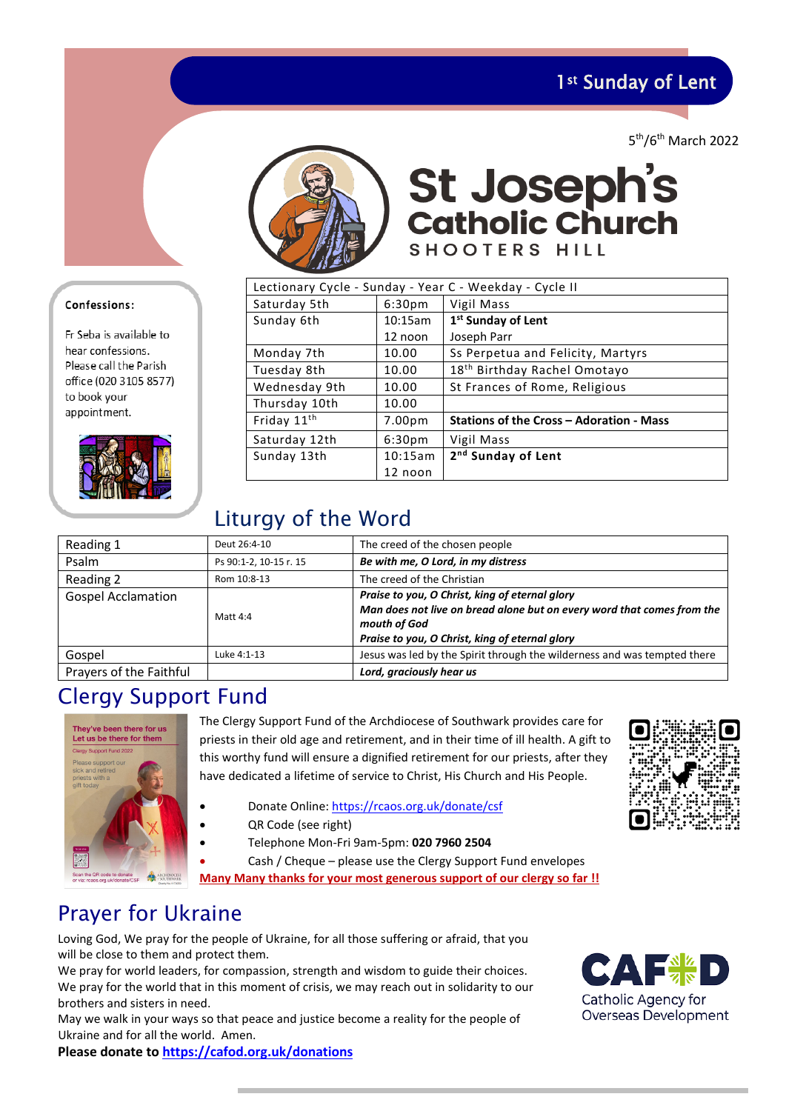1<sup>st</sup> Sunday of Lent

5th/6th March 2022



**St Joseph's**<br>Catholic Church SHOOTERS HILL

| Lectionary Cycle - Sunday - Year C - Weekday - Cycle II |                    |                                          |  |
|---------------------------------------------------------|--------------------|------------------------------------------|--|
| Saturday 5th                                            | 6:30 <sub>pm</sub> | Vigil Mass                               |  |
| Sunday 6th                                              | 10:15am            | 1st Sunday of Lent                       |  |
|                                                         | 12 noon            | Joseph Parr                              |  |
| Monday 7th                                              | 10.00              | Ss Perpetua and Felicity, Martyrs        |  |
| Tuesday 8th                                             | 10.00              | 18 <sup>th</sup> Birthday Rachel Omotayo |  |
| Wednesday 9th                                           | 10.00              | St Frances of Rome, Religious            |  |
| Thursday 10th                                           | 10.00              |                                          |  |
| Friday 11 <sup>th</sup>                                 | 7.00 <sub>pm</sub> | Stations of the Cross - Adoration - Mass |  |
| Saturday 12th                                           | 6:30 <sub>pm</sub> | Vigil Mass                               |  |
| Sunday 13th                                             | 10:15am            | 2 <sup>nd</sup> Sunday of Lent           |  |
|                                                         | 12 noon            |                                          |  |

# Liturgy of the Word

| Reading 1                 | Deut 26:4-10           | The creed of the chosen people                                                                                                                                                             |
|---------------------------|------------------------|--------------------------------------------------------------------------------------------------------------------------------------------------------------------------------------------|
| Psalm                     | Ps 90:1-2, 10-15 r. 15 | Be with me, O Lord, in my distress                                                                                                                                                         |
| Reading 2                 | Rom 10:8-13            | The creed of the Christian                                                                                                                                                                 |
| <b>Gospel Acclamation</b> | Matt 4:4               | Praise to you, O Christ, king of eternal glory<br>Man does not live on bread alone but on every word that comes from the<br>mouth of God<br>Praise to you, O Christ, king of eternal glory |
| Gospel                    | Luke 4:1-13            | Jesus was led by the Spirit through the wilderness and was tempted there                                                                                                                   |
| Prayers of the Faithful   |                        | Lord, graciously hear us                                                                                                                                                                   |

## Clergy Support Fund



The Clergy Support Fund of the Archdiocese of Southwark provides care for priests in their old age and retirement, and in their time of ill health. A gift to this worthy fund will ensure a dignified retirement for our priests, after they have dedicated a lifetime of service to Christ, His Church and His People.

- Donate Online[: https://rcaos.org.uk/donate/csf](https://rcaos.org.uk/donate/csf)
- QR Code (see right)
	- Telephone Mon-Fri 9am-5pm: **020 7960 2504**
- Cash / Cheque please use the Clergy Support Fund envelopes

**Many Many thanks for your most generous support of our clergy so far !!**

# Prayer for Ukraine

Loving God, We pray for the people of Ukraine, for all those suffering or afraid, that you will be close to them and protect them.

We pray for world leaders, for compassion, strength and wisdom to guide their choices. We pray for the world that in this moment of crisis, we may reach out in solidarity to our brothers and sisters in need.

May we walk in your ways so that peace and justice become a reality for the people of Ukraine and for all the world. Amen.



### Confessions:

Fr Seba is available to hear confessions. Please call the Parish office (020 3105 8577) to book your appointment.





**Please donate to [https://cafod.org.uk/donations](https://cafod.org.uk/donations/picker?defaultuniversaltype=single&_Appeal=123770)**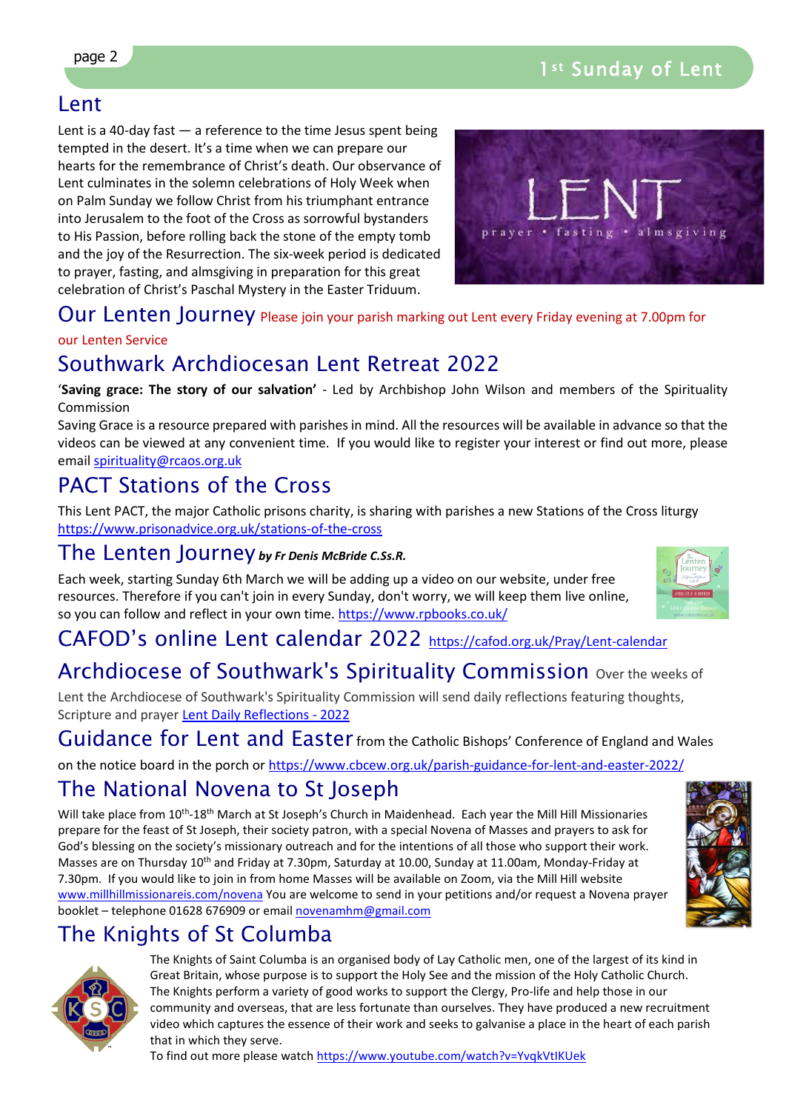## Lent

Lent is a 40-day fast  $-$  a reference to the time Jesus spent being tempted in the desert. It's a time when we can prepare our hearts for the remembrance of Christ's death. Our observance of Lent culminates in the solemn celebrations of Holy Week when on Palm Sunday we follow Christ from his triumphant entrance into Jerusalem to the foot of the Cross as sorrowful bystanders to His Passion, before rolling back the stone of the empty tomb and the joy of the Resurrection. The six-week period is dedicated to prayer, fasting, and almsgiving in preparation for this great celebration of Christ's Paschal Mystery in the Easter Triduum.



### Our Lenten Journey Please join your parish marking out Lent every Friday evening at 7.00pm for

### our Lenten Service

## Southwark Archdiocesan Lent Retreat 2022

'**Saving grace: The story of our salvation'** - Led by Archbishop John Wilson and members of the Spirituality Commission

Saving Grace is a resource prepared with parishes in mind. All the resources will be available in advance so that the videos can be viewed at any convenient time. If you would like to register your interest or find out more, please email [spirituality@rcaos.org.uk](mailto:spirituality@rcaos.org.uk) 

# PACT Stations of the Cross

This Lent PACT, the major Catholic prisons charity, is sharing with parishes a new Stations of the Cross liturgy <https://www.prisonadvice.org.uk/stations-of-the-cross>

### The Lenten Journey *by Fr Denis McBride C.Ss.R.*

Each week, starting Sunday 6th March we will be adding up a video on our website, under free resources. Therefore if you can't join in every Sunday, don't worry, we will keep them live online, so you can follow and reflect in your own time.<https://www.rpbooks.co.uk/>

### CAFOD's online Lent calendar 2022 <https://cafod.org.uk/Pray/Lent-calendar>

## Archdiocese of Southwark's Spirituality Commission over the weeks of

Lent the Archdiocese of Southwark's Spirituality Commission will send daily reflections featuring thoughts, Scripture and prayer Lent Daily Reflections - 2022

Guidance for Lent and Easter from the Catholic Bishops' Conference of England and Wales

on the notice board in the porch or<https://www.cbcew.org.uk/parish-guidance-for-lent-and-easter-2022/>

## The National Novena to St Joseph

Will take place from 10<sup>th</sup>-18<sup>th</sup> March at St Joseph's Church in Maidenhead. Each year the Mill Hill Missionaries prepare for the feast of St Joseph, their society patron, with a special Novena of Masses and prayers to ask for God's blessing on the society's missionary outreach and for the intentions of all those who support their work. Masses are on Thursday 10<sup>th</sup> and Friday at 7.30pm, Saturday at 10.00, Sunday at 11.00am, Monday-Friday at 7.30pm. If you would like to join in from home Masses will be available on Zoom, via the Mill Hill website [www.millhillmissionareis.com/novena](http://www.millhillmissionareis.com/novena) You are welcome to send in your petitions and/or request a Novena prayer booklet – telephone 01628 676909 or email [novenamhm@gmail.com](mailto:novenamhm@gmail.com)



# The Knights of St Columba



The Knights of Saint Columba is an organised body of Lay Catholic men, one of the largest of its kind in Great Britain, whose purpose is to support the Holy See and the mission of the Holy Catholic Church. The Knights perform a variety of good works to support the Clergy, Pro-life and help those in our community and overseas, that are less fortunate than ourselves. They have produced a new recruitment video which captures the essence of their work and seeks to galvanise a place in the heart of each parish that in which they serve.

To find out more please watch<https://www.youtube.com/watch?v=YvqkVtIKUek>

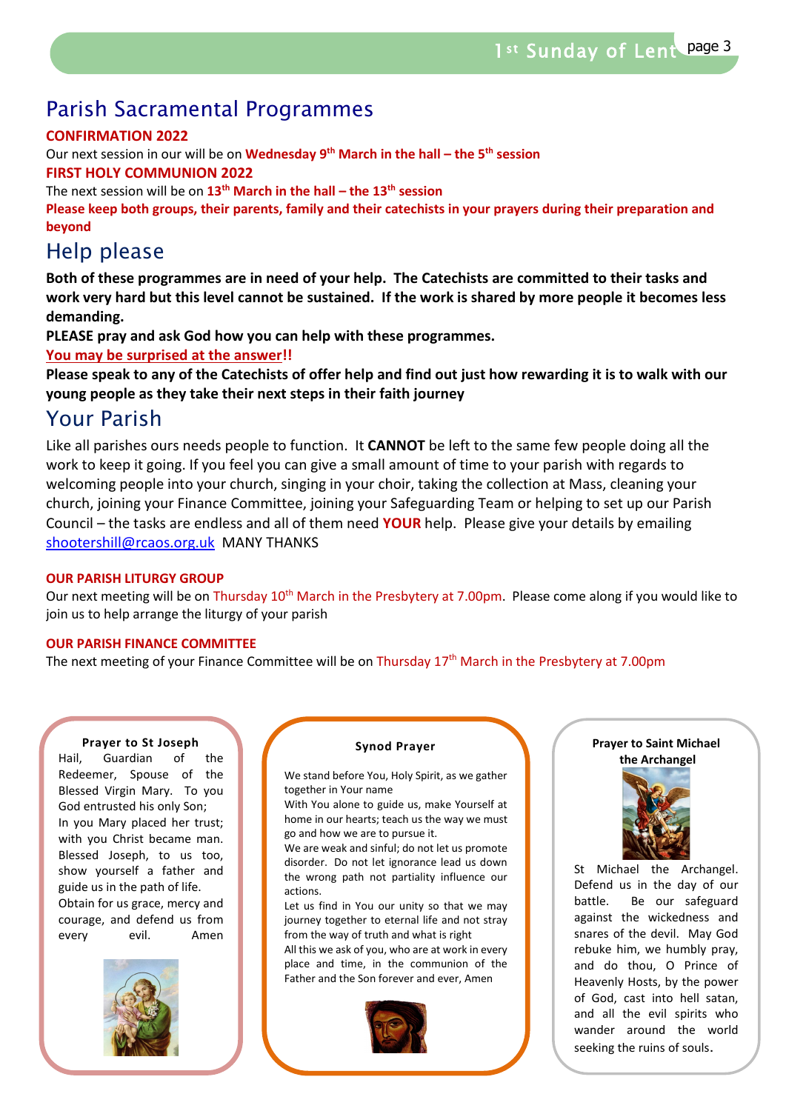## Parish Sacramental Programmes

### **CONFIRMATION 2022**

Our next session in our will be on **Wednesday 9th March in the hall – the 5th session**

### **FIRST HOLY COMMUNION 2022**

The next session will be on **13th March in the hall – the 13th session**

**Please keep both groups, their parents, family and their catechists in your prayers during their preparation and beyond**

## Help please

**Both of these programmes are in need of your help. The Catechists are committed to their tasks and work very hard but this level cannot be sustained. If the work is shared by more people it becomes less demanding.** 

**PLEASE pray and ask God how you can help with these programmes.** 

**You may be surprised at the answer!!** 

**Please speak to any of the Catechists of offer help and find out just how rewarding it is to walk with our young people as they take their next steps in their faith journey**

## Your Parish

Like all parishes ours needs people to function. It **CANNOT** be left to the same few people doing all the work to keep it going. If you feel you can give a small amount of time to your parish with regards to welcoming people into your church, singing in your choir, taking the collection at Mass, cleaning your church, joining your Finance Committee, joining your Safeguarding Team or helping to set up our Parish Council – the tasks are endless and all of them need **YOUR** help. Please give your details by emailing [shootershill@rcaos.org.uk](mailto:shootershill@rcaos.org.uk) MANY THANKS

### **OUR PARISH LITURGY GROUP**

Our next meeting will be on Thursday  $10^{th}$  March in the Presbytery at 7.00pm. Please come along if you would like to join us to help arrange the liturgy of your parish

### **OUR PARISH FINANCE COMMITTEE**

The next meeting of your Finance Committee will be on Thursday 17<sup>th</sup> March in the Presbytery at 7.00pm

#### **Prayer to St Joseph**

Hail, Guardian of the Redeemer, Spouse of the Blessed Virgin Mary. To you God entrusted his only Son; In you Mary placed her trust; with you Christ became man. Blessed Joseph, to us too, show yourself a father and guide us in the path of life. Obtain for us grace, mercy and courage, and defend us from every evil. Amen



#### **Synod Prayer**

We stand before You, Holy Spirit, as we gather together in Your name

With You alone to guide us, make Yourself at home in our hearts; teach us the way we must go and how we are to pursue it.

We are weak and sinful; do not let us promote disorder. Do not let ignorance lead us down the wrong path not partiality influence our actions.

Let us find in You our unity so that we may journey together to eternal life and not stray from the way of truth and what is right

All this we ask of you, who are at work in every place and time, in the communion of the Father and the Son forever and ever, Amen



#### **Prayer to Saint Michael the Archangel**



St Michael the Archangel. Defend us in the day of our battle. Be our safeguard against the wickedness and snares of the devil. May God rebuke him, we humbly pray, and do thou, O Prince of Heavenly Hosts, by the power of God, cast into hell satan, and all the evil spirits who wander around the world seeking the ruins of souls.